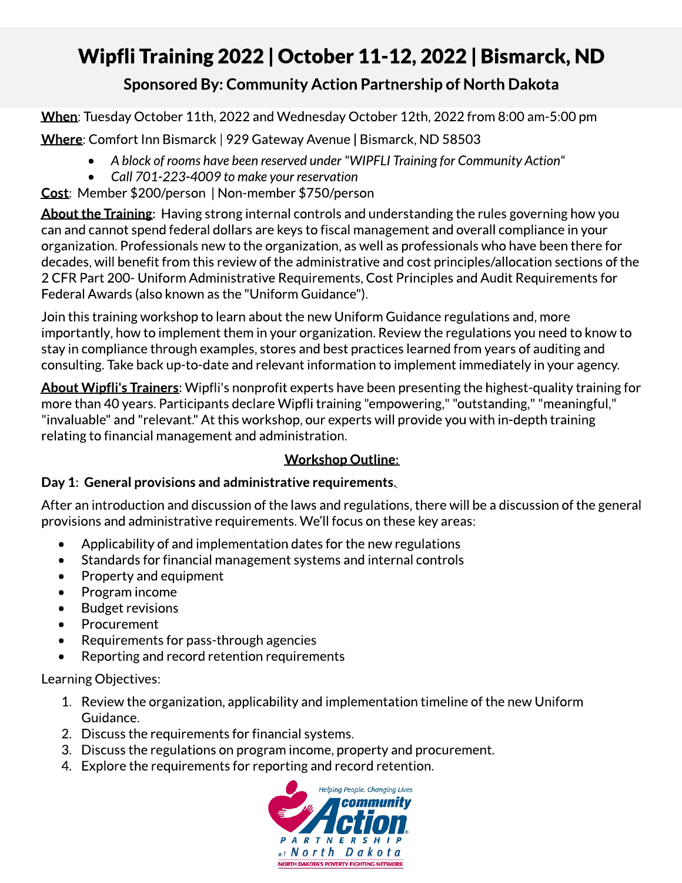## Wipfli Training 2022 | October 11-12, 2022 | Bismarck, ND

### Sponsored By: Community Action Partnership of North Dakota

When: Tuesday October 11th, 2022 and Wednesday October 12th, 2022 from 8:00 am-5:00 pm

Where: Comfort Inn Bismarck | 929 Gateway Avenue | Bismarck, ND 58503

- **- Ablockofroomshavebeenreservedunder "WIPFLI Trainingfor CommunityAction"**
- **- Call 701-223-4009 tomakeyourreservation**

Cost: Member \$200/person | Non-member \$750/person

About the Training: Having strong internal controls and understanding the rules governing how you can and cannot spend federal dollars are keys to fiscal management and overall compliance in your organization. Professionals new to the organization, as well as professionals who have been there for decades, will benefit from this review of the administrative and cost principles/allocation sections of the 2 CFR Part 200- Uniform Administrative Requirements, Cost Principles and Audit Requirements for Federal Awards(also known as the "Uniform Guidance").

Join this training workshop to learn about the new Uniform Guidance regulations and, more importantly, how to implement them in your organization. Review the regulations you need to know to stay in compliance through examples, stores and best practices learned from years of auditing and consulting.Take back up-to-date and relevant information to implement immediately in your agency.

About Wipfli's Trainers: Wipfli's nonprofit experts have been presenting the highest-quality training for more than 40 years. Participants declare Wipfli training "empowering," "outstanding," "meaningful," "invaluable" and "relevant." At this workshop, our experts will provide you with in-depth training relating to financial management and administration.

#### Workshop Outline:

### Day 1: General provisions and administrative requirements.

After an introduction and discussion of the laws and regulations, there will be a discussion of the general provisions and administrative requirements. We'll focus on these key areas:

- $\bullet$  Applicability of and implementation dates for the new regulations
- Standards for financial management systems and internal controls
- Property and equipment
- Program income
- Budget revisions
- Procurement
- Requirements for pass-through agencies
- Reporting and record retention requirements

LearningObjectives:

- 1. Review the organization, applicability and implementation timeline of the new Uniform Guidance.
- 2. Discuss the requirements for financial systems.
- 3. Discuss the regulations on program income, property and procurement.
- 4. Explore the requirements for reporting and record retention.